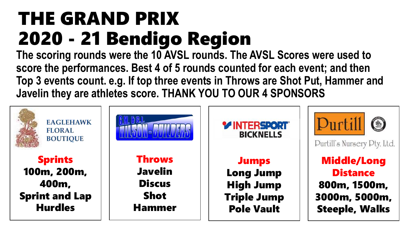## THE GRAND PRIX 2020 - 21 Bendigo Region

**The scoring rounds were the 10 AVSL rounds. The AVSL Scores were used to score the performances. Best 4 of 5 rounds counted for each event; and then Top 3 events count. e.g. If top three events in Throws are Shot Put, Hammer and Javelin they are athletes score. THANK YOU TO OUR 4 SPONSORS**

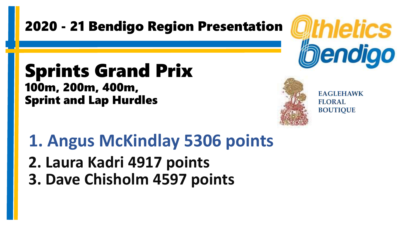### Sprints Grand Prix 100m, 200m, 400m, Sprint and Lap Hurdles



**EAGLEHAWK FLORAL BOUTIQUE** 

**1. Angus McKindlay 5306 points 2. Laura Kadri 4917 points 3. Dave Chisholm 4597 points**

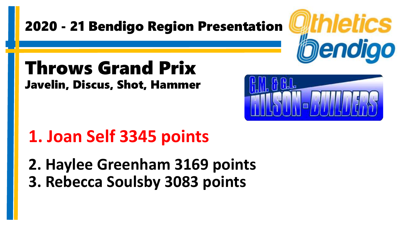### Throws Grand Prix Javelin, Discus, Shot, Hammer

## **1. Joan Self 3345 points**

**2. Haylee Greenham 3169 points 3. Rebecca Soulsby 3083 points**



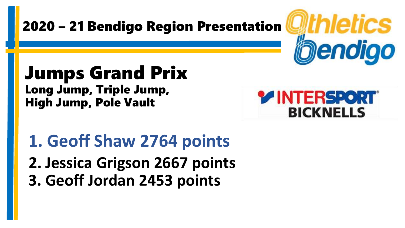### Jumps Grand Prix Long Jump, Triple Jump, High Jump, Pole Vault



Wthletics

bendigo

**1. Geoff Shaw 2764 points 2. Jessica Grigson 2667 points 3. Geoff Jordan 2453 points**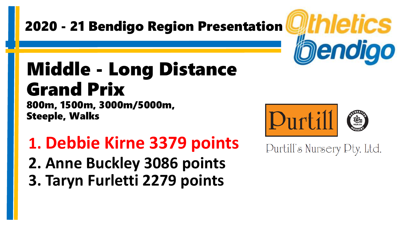## Middle - Long Distance Grand Prix

800m, 1500m, 3000m/5000m, Steeple, Walks

**1. Debbie Kirne 3379 points 2. Anne Buckley 3086 points 3. Taryn Furletti 2279 points**



Purtill's Nursery Pty. Ltd.

*athletics* 

bendigo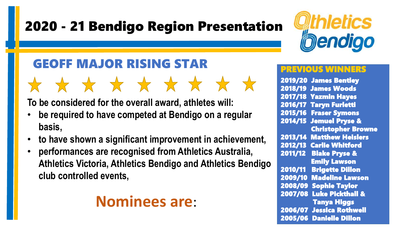### GEOFF MAJOR RISING STAR

**To be considered for the overall award, athletes will:**

• **be required to have competed at Bendigo on a regular basis,**

\* \* \* \* \* \* \* \* \* \*

- **to have shown a significant improvement in achievement,**
- **performances are recognised from Athletics Australia, Athletics Victoria, Athletics Bendigo and Athletics Bendigo club controlled events,**

### **Nominees are**:



#### PREVIOUS W

2019/20 James Bentley 2018/19 James Woods 2017/18 Yazmin Hayes 2016/17 Taryn Furletti 2015/16 Fraser Symons 2014/15 Jemuel Pryse & Christopher Browne 2013/14 Matthew Heislers 2012/13 Carlie Whitford 2011/12 Blake Pryse & Emily Lawson 2010/11 Brigette Dillon 2009/10 Madeline Lawson 2008/09 Sophie Taylor 2007/08 Luke Pickthall & Tanya Higgs 2006/07 Jessica Rothwell 2005/06 Danielle Dillon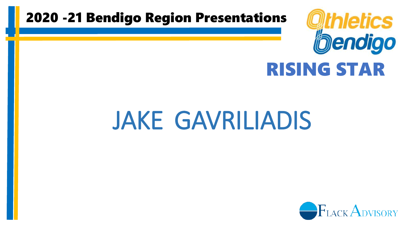

## RISING STAR

# JAKE GAVRILIADIS

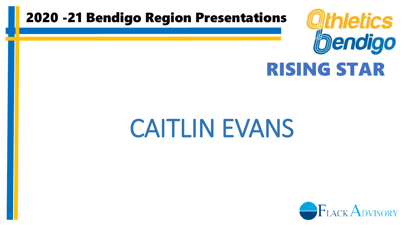

### RISING STAR

## CAITLIN EVANS

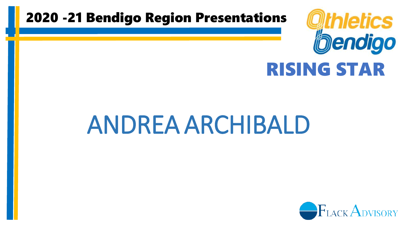

### RISING STAR

## ANDREA ARCHIBALD

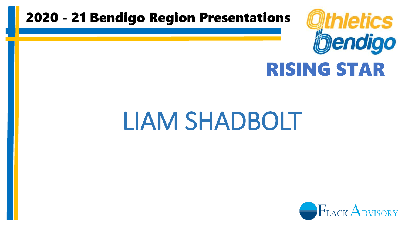

## RISING STAR

## LIAM SHADBOLT

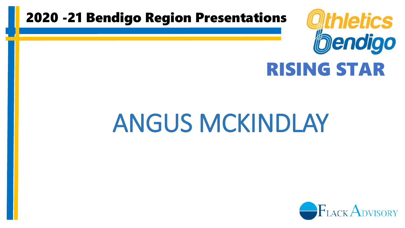

### RISING STAR

## ANGUS MCKINDLAY

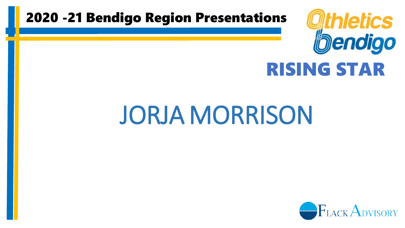

## RISING STAR

# JORJA MORRISON

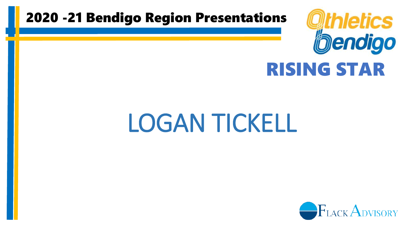

## RISING STAR

## LOGAN TICKELL

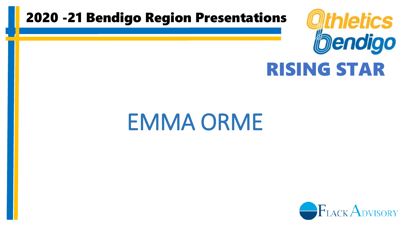

## RISING STAR

## EMMA ORME

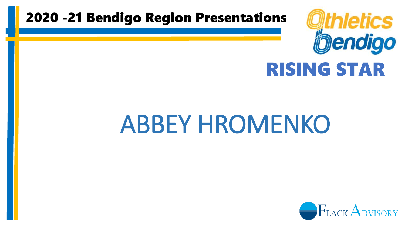

### RISING STAR

## ABBEY HROMENKO